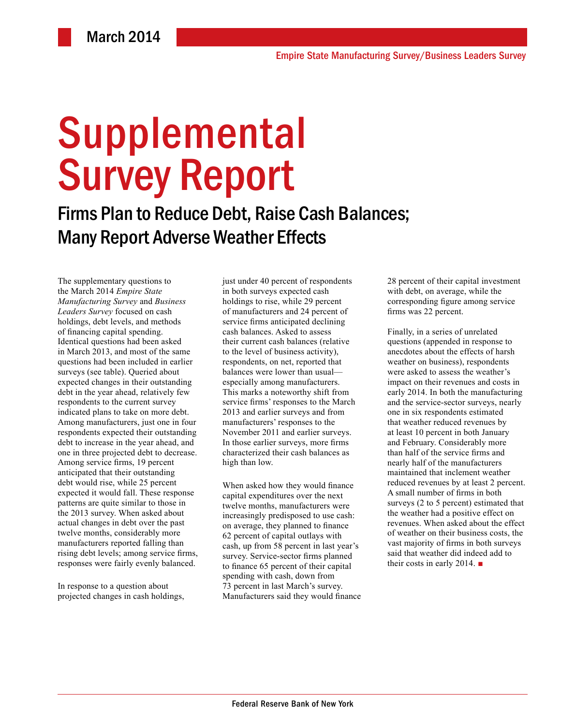# Supplemental Survey Report

Firms Plan to Reduce Debt, Raise Cash Balances; Many Report Adverse Weather Effects

The supplementary questions to the March 2014 *Empire State Manufacturing Survey* and *Business Leaders Survey* focused on cash holdings, debt levels, and methods of financing capital spending. Identical questions had been asked in March 2013, and most of the same questions had been included in earlier surveys (see table). Queried about expected changes in their outstanding debt in the year ahead, relatively few respondents to the current survey indicated plans to take on more debt. Among manufacturers, just one in four respondents expected their outstanding debt to increase in the year ahead, and one in three projected debt to decrease. Among service firms, 19 percent anticipated that their outstanding debt would rise, while 25 percent expected it would fall. These response patterns are quite similar to those in the 2013 survey. When asked about actual changes in debt over the past twelve months, considerably more manufacturers reported falling than rising debt levels; among service firms, responses were fairly evenly balanced.

In response to a question about projected changes in cash holdings, just under 40 percent of respondents in both surveys expected cash holdings to rise, while 29 percent of manufacturers and 24 percent of service firms anticipated declining cash balances. Asked to assess their current cash balances (relative to the level of business activity), respondents, on net, reported that balances were lower than usual especially among manufacturers. This marks a noteworthy shift from service firms' responses to the March 2013 and earlier surveys and from manufacturers' responses to the November 2011 and earlier surveys. In those earlier surveys, more firms characterized their cash balances as high than low.

When asked how they would finance capital expenditures over the next twelve months, manufacturers were increasingly predisposed to use cash: on average, they planned to finance 62 percent of capital outlays with cash, up from 58 percent in last year's survey. Service-sector firms planned to finance 65 percent of their capital spending with cash, down from 73 percent in last March's survey. Manufacturers said they would finance 28 percent of their capital investment with debt, on average, while the corresponding figure among service firms was 22 percent.

Finally, in a series of unrelated questions (appended in response to anecdotes about the effects of harsh weather on business), respondents were asked to assess the weather's impact on their revenues and costs in early 2014. In both the manufacturing and the service-sector surveys, nearly one in six respondents estimated that weather reduced revenues by at least 10 percent in both January and February. Considerably more than half of the service firms and nearly half of the manufacturers maintained that inclement weather reduced revenues by at least 2 percent. A small number of firms in both surveys (2 to 5 percent) estimated that the weather had a positive effect on revenues. When asked about the effect of weather on their business costs, the vast majority of firms in both surveys said that weather did indeed add to their costs in early 2014. ■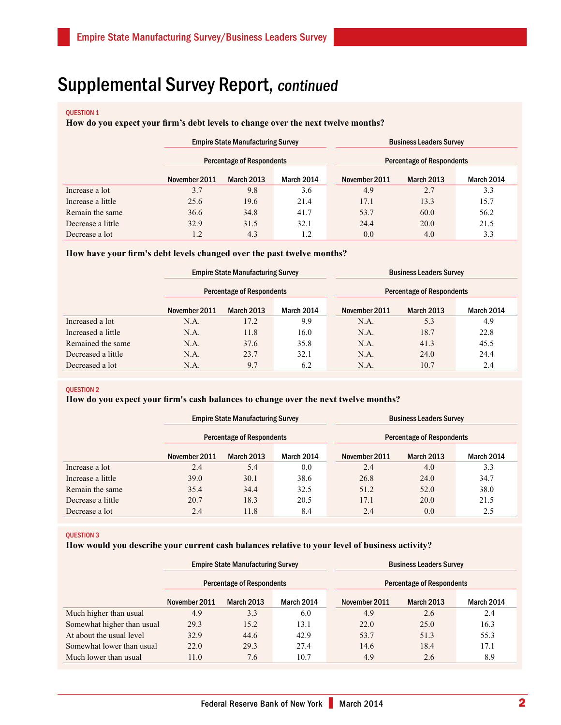# question 1

## **How do you expect your firm's debt levels to change over the next twelve months?**

|                   |               | <b>Empire State Manufacturing Survey</b> |            |  | <b>Business Leaders Survey</b>   |            |            |  |
|-------------------|---------------|------------------------------------------|------------|--|----------------------------------|------------|------------|--|
|                   |               | <b>Percentage of Respondents</b>         |            |  | <b>Percentage of Respondents</b> |            |            |  |
|                   | November 2011 | March 2013                               | March 2014 |  | November 2011                    | March 2013 | March 2014 |  |
| Increase a lot    | 3.7           | 9.8                                      | 3.6        |  | 4.9                              | 2.7        | 3.3        |  |
| Increase a little | 25.6          | 19.6                                     | 21.4       |  | 17.1                             | 13.3       | 15.7       |  |
| Remain the same   | 36.6          | 34.8                                     | 41.7       |  | 53.7                             | 60.0       | 56.2       |  |
| Decrease a little | 32.9          | 31.5                                     | 32.1       |  | 24.4                             | 20.0       | 21.5       |  |
| Decrease a lot    | 1.2           | 4.3                                      | 1.2        |  | 0.0                              | 4.0        | 3.3        |  |

#### **How have your firm's debt levels changed over the past twelve months?**

|                    |               | <b>Empire State Manufacturing Survey</b> |            |  | <b>Business Leaders Survey</b>   |                   |            |  |
|--------------------|---------------|------------------------------------------|------------|--|----------------------------------|-------------------|------------|--|
|                    |               | <b>Percentage of Respondents</b>         |            |  | <b>Percentage of Respondents</b> |                   |            |  |
|                    | November 2011 | <b>March 2013</b>                        | March 2014 |  | November 2011                    | <b>March 2013</b> | March 2014 |  |
| Increased a lot    | N.A.          | 17.2                                     | 9.9        |  | N.A.                             | 5.3               | 4.9        |  |
| Increased a little | N.A.          | 11.8                                     | 16.0       |  | N.A.                             | 18.7              | 22.8       |  |
| Remained the same  | N.A.          | 37.6                                     | 35.8       |  | N.A.                             | 41.3              | 45.5       |  |
| Decreased a little | N.A.          | 23.7                                     | 32.1       |  | N.A.                             | 24.0              | 24.4       |  |
| Decreased a lot    | N.A.          | 9.7                                      | 6.2        |  | N.A.                             | 10.7              | 2.4        |  |

#### question 2

# **How do you expect your firm's cash balances to change over the next twelve months?**

|                   |               | <b>Empire State Manufacturing Survey</b> |                   |               | <b>Business Leaders Survey</b>   |            |  |  |
|-------------------|---------------|------------------------------------------|-------------------|---------------|----------------------------------|------------|--|--|
|                   |               | <b>Percentage of Respondents</b>         |                   |               | <b>Percentage of Respondents</b> |            |  |  |
|                   | November 2011 | March 2013                               | <b>March 2014</b> | November 2011 | <b>March 2013</b>                | March 2014 |  |  |
| Increase a lot    | 2.4           | 5.4                                      | 0.0               | 2.4           | 4.0                              | 3.3        |  |  |
| Increase a little | 39.0          | 30.1                                     | 38.6              | 26.8          | 24.0                             | 34.7       |  |  |
| Remain the same   | 35.4          | 34.4                                     | 32.5              | 51.2          | 52.0                             | 38.0       |  |  |
| Decrease a little | 20.7          | 18.3                                     | 20.5              | 17.1          | 20.0                             | 21.5       |  |  |
| Decrease a lot    | 2.4           | 11.8                                     | 8.4               | 2.4           | 0.0                              | 2.5        |  |  |

#### QUESTION 3

#### **How would you describe your current cash balances relative to your level of business activity?**

|                            | <b>Empire State Manufacturing Survey</b>                             |                   |            | <b>Business Leaders Survey</b> |                   |            |  |
|----------------------------|----------------------------------------------------------------------|-------------------|------------|--------------------------------|-------------------|------------|--|
|                            | <b>Percentage of Respondents</b><br><b>Percentage of Respondents</b> |                   |            |                                |                   |            |  |
|                            | November 2011                                                        | <b>March 2013</b> | March 2014 | November 2011                  | <b>March 2013</b> | March 2014 |  |
| Much higher than usual     | 4.9                                                                  | 3.3               | 6.0        | 4.9                            | 2.6               | 2.4        |  |
| Somewhat higher than usual | 29.3                                                                 | 15.2              | 13.1       | 22.0                           | 25.0              | 16.3       |  |
| At about the usual level   | 32.9                                                                 | 44.6              | 42.9       | 53.7                           | 51.3              | 55.3       |  |
| Somewhat lower than usual  | 22.0                                                                 | 29.3              | 27.4       | 14.6                           | 18.4              | 17.1       |  |
| Much lower than usual      | 11.0                                                                 | 7.6               | 10.7       | 4.9                            | 2.6               | 8.9        |  |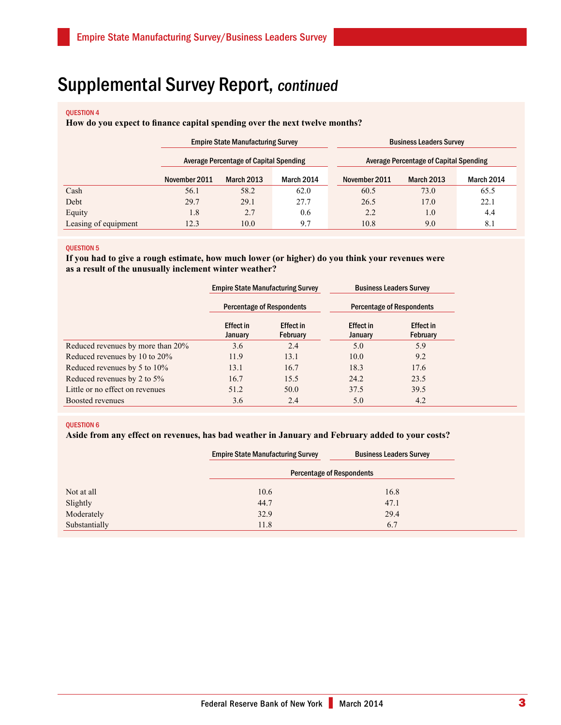# question 4

# **How do you expect to finance capital spending over the next twelve months?**

|                      | <b>Empire State Manufacturing Survey</b>                                                       |                   |            | <b>Business Leaders Survey</b> |                   |            |  |
|----------------------|------------------------------------------------------------------------------------------------|-------------------|------------|--------------------------------|-------------------|------------|--|
|                      | <b>Average Percentage of Capital Spending</b><br><b>Average Percentage of Capital Spending</b> |                   |            |                                |                   |            |  |
|                      | November 2011                                                                                  | <b>March 2013</b> | March 2014 | November 2011                  | <b>March 2013</b> | March 2014 |  |
| Cash                 | 56.1                                                                                           | 58.2              | 62.0       | 60.5                           | 73.0              | 65.5       |  |
| Debt                 | 29.7                                                                                           | 29.1              | 27.7       | 26.5                           | 17.0              | 22.1       |  |
| Equity               | 1.8                                                                                            | 2.7               | 0.6        | 2.2                            | 1.0               | 4.4        |  |
| Leasing of equipment | 12.3                                                                                           | 10.0              | 9.7        | 10.8                           | 9.0               | 8.1        |  |

#### question 5

# **If you had to give a rough estimate, how much lower (or higher) do you think your revenues were as a result of the unusually inclement winter weather?**

|                                   |                             | <b>Empire State Manufacturing Survey</b> |                                  | <b>Business Leaders Survey</b> |
|-----------------------------------|-----------------------------|------------------------------------------|----------------------------------|--------------------------------|
|                                   |                             | <b>Percentage of Respondents</b>         | <b>Percentage of Respondents</b> |                                |
|                                   | <b>Effect in</b><br>January | <b>Effect in</b><br>February             | <b>Effect in</b><br>January      | Effect in<br>February          |
| Reduced revenues by more than 20% | 3.6                         | 2.4                                      | 5.0                              | 5.9                            |
| Reduced revenues by 10 to 20%     | 11.9                        | 13.1                                     | 10.0                             | 9.2                            |
| Reduced revenues by 5 to 10%      | 13.1                        | 16.7                                     | 18.3                             | 17.6                           |
| Reduced revenues by 2 to 5%       | 16.7                        | 15.5                                     | 24.2                             | 23.5                           |
| Little or no effect on revenues   | 51.2                        | 50.0                                     | 37.5                             | 39.5                           |
| Boosted revenues                  | 3.6                         | 2.4                                      | 5.0                              | 4.2                            |

#### question 6

# **Aside from any effect on revenues, has bad weather in January and February added to your costs?**

|               | <b>Empire State Manufacturing Survey</b> | <b>Business Leaders Survey</b> |  |  |
|---------------|------------------------------------------|--------------------------------|--|--|
|               | <b>Percentage of Respondents</b>         |                                |  |  |
| Not at all    | 10.6                                     | 16.8                           |  |  |
| Slightly      | 44.7                                     | 47.1                           |  |  |
| Moderately    | 32.9                                     | 29.4                           |  |  |
| Substantially | 11.8                                     | 6.7                            |  |  |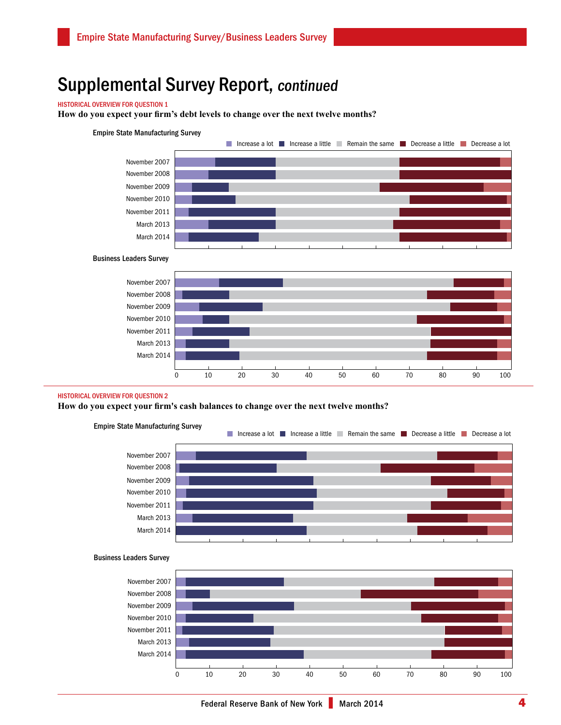## Historical overview for Question 1

**How do you expect your firm's debt levels to change over the next twelve months?** 

#### Empire State Manufacturing Survey



#### Business Leaders Survey



#### Historical overview for Question 2

**How do you expect your firm's cash balances to change over the next twelve months?**